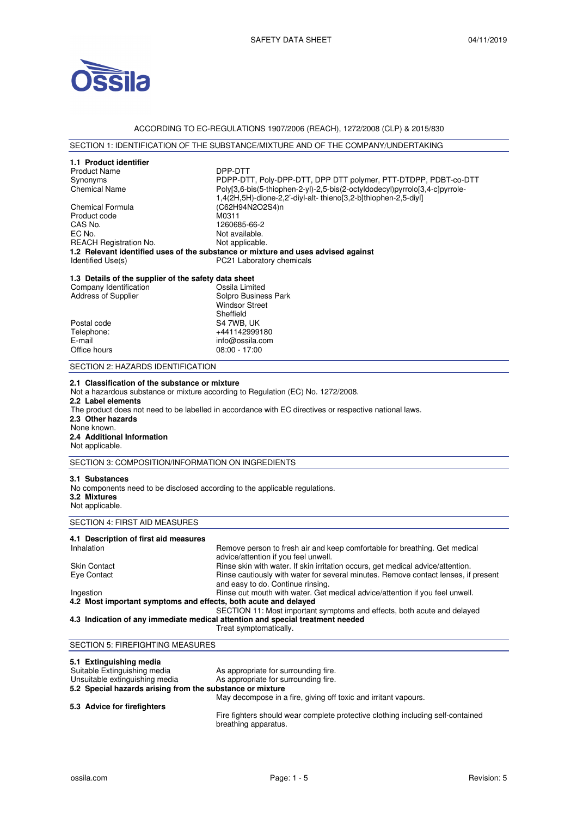

# ACCORDING TO EC-REGULATIONS 1907/2006 (REACH), 1272/2008 (CLP) & 2015/830

# SECTION 1: IDENTIFICATION OF THE SUBSTANCE/MIXTURE AND OF THE COMPANY/UNDERTAKING

| 1.1 Product identifier<br><b>Product Name</b><br>Synonyms<br><b>Chemical Name</b><br>Chemical Formula<br>Product code<br>CAS No.<br>EC No.<br><b>REACH Registration No.</b><br>Identified Use(s)                                                                                                                                                        | DPP-DTT<br>PDPP-DTT, Poly-DPP-DTT, DPP DTT polymer, PTT-DTDPP, PDBT-co-DTT<br>Poly[3,6-bis(5-thiophen-2-yl)-2,5-bis(2-octyldodecyl)pyrrolo[3,4-c]pyrrole-<br>1,4(2H,5H)-dione-2,2'-diyl-alt-thieno[3,2-b]thiophen-2,5-diyl]<br>(C62H94N2O2S4)n<br>M0311<br>1260685-66-2<br>Not available.<br>Not applicable.<br>1.2 Relevant identified uses of the substance or mixture and uses advised against<br>PC21 Laboratory chemicals |  |
|---------------------------------------------------------------------------------------------------------------------------------------------------------------------------------------------------------------------------------------------------------------------------------------------------------------------------------------------------------|--------------------------------------------------------------------------------------------------------------------------------------------------------------------------------------------------------------------------------------------------------------------------------------------------------------------------------------------------------------------------------------------------------------------------------|--|
| 1.3 Details of the supplier of the safety data sheet<br>Company Identification<br>Address of Supplier<br>Postal code<br>Telephone:<br>E-mail<br>Office hours                                                                                                                                                                                            | Ossila Limited<br>Solpro Business Park<br><b>Windsor Street</b><br>Sheffield<br>S4 7WB, UK<br>+441142999180<br>info@ossila.com<br>$08:00 - 17:00$                                                                                                                                                                                                                                                                              |  |
| SECTION 2: HAZARDS IDENTIFICATION                                                                                                                                                                                                                                                                                                                       |                                                                                                                                                                                                                                                                                                                                                                                                                                |  |
| 2.1 Classification of the substance or mixture<br>Not a hazardous substance or mixture according to Regulation (EC) No. 1272/2008.<br>2.2 Label elements<br>The product does not need to be labelled in accordance with EC directives or respective national laws.<br>2.3 Other hazards<br>None known.<br>2.4 Additional Information<br>Not applicable. |                                                                                                                                                                                                                                                                                                                                                                                                                                |  |
| SECTION 3: COMPOSITION/INFORMATION ON INGREDIENTS                                                                                                                                                                                                                                                                                                       |                                                                                                                                                                                                                                                                                                                                                                                                                                |  |
| 3.1 Substances<br>No components need to be disclosed according to the applicable regulations.<br>3.2 Mixtures<br>Not applicable.                                                                                                                                                                                                                        |                                                                                                                                                                                                                                                                                                                                                                                                                                |  |
| SECTION 4: FIRST AID MEASURES                                                                                                                                                                                                                                                                                                                           |                                                                                                                                                                                                                                                                                                                                                                                                                                |  |
| 4.1 Description of first aid measures<br>Inhalation<br>Skin Contact<br>Eye Contact                                                                                                                                                                                                                                                                      | Remove person to fresh air and keep comfortable for breathing. Get medical<br>advice/attention if you feel unwell.<br>Rinse skin with water. If skin irritation occurs, get medical advice/attention.<br>Rinse cautiously with water for several minutes. Remove contact lenses, if present<br>and easy to do. Continue rinsing.                                                                                               |  |
| Ingestion<br>4.2 Most important symptoms and effects, both acute and delayed                                                                                                                                                                                                                                                                            | Rinse out mouth with water. Get medical advice/attention if you feel unwell.                                                                                                                                                                                                                                                                                                                                                   |  |
|                                                                                                                                                                                                                                                                                                                                                         | SECTION 11: Most important symptoms and effects, both acute and delayed<br>4.3 Indication of any immediate medical attention and special treatment needed<br>Treat symptomatically.                                                                                                                                                                                                                                            |  |
| <b>SECTION 5: FIREFIGHTING MEASURES</b>                                                                                                                                                                                                                                                                                                                 |                                                                                                                                                                                                                                                                                                                                                                                                                                |  |
| 5.1 Extinguishing media<br>Suitable Extinguishing media<br>Unsuitable extinguishing media<br>5.2 Special hazards arising from the substance or mixture                                                                                                                                                                                                  | As appropriate for surrounding fire.<br>As appropriate for surrounding fire.<br>May decompose in a fire, giving off toxic and irritant vapours.                                                                                                                                                                                                                                                                                |  |
| 5.3 Advice for firefighters                                                                                                                                                                                                                                                                                                                             | Fire fighters should wear complete protective clothing including self-contained<br>breathing apparatus.                                                                                                                                                                                                                                                                                                                        |  |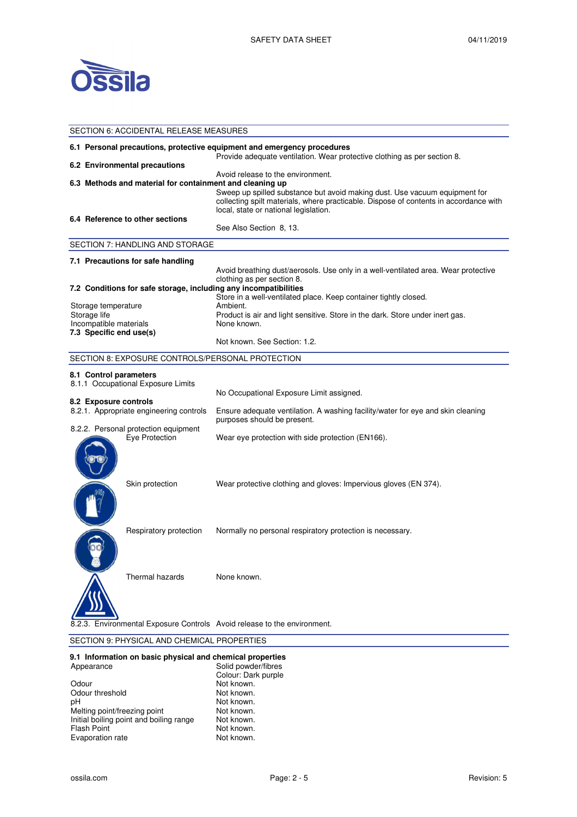

| <b>SECTION 6: ACCIDENTAL RELEASE MEASURES</b>                                                                                                       |                                                                                                                                                                                                                                                   |  |
|-----------------------------------------------------------------------------------------------------------------------------------------------------|---------------------------------------------------------------------------------------------------------------------------------------------------------------------------------------------------------------------------------------------------|--|
| 6.1 Personal precautions, protective equipment and emergency procedures<br>Provide adequate ventilation. Wear protective clothing as per section 8. |                                                                                                                                                                                                                                                   |  |
| 6.2 Environmental precautions                                                                                                                       |                                                                                                                                                                                                                                                   |  |
| 6.3 Methods and material for containment and cleaning up                                                                                            | Avoid release to the environment.<br>Sweep up spilled substance but avoid making dust. Use vacuum equipment for<br>collecting spilt materials, where practicable. Dispose of contents in accordance with<br>local, state or national legislation. |  |
| 6.4 Reference to other sections                                                                                                                     | See Also Section 8, 13.                                                                                                                                                                                                                           |  |
| SECTION 7: HANDLING AND STORAGE                                                                                                                     |                                                                                                                                                                                                                                                   |  |
| 7.1 Precautions for safe handling                                                                                                                   |                                                                                                                                                                                                                                                   |  |
|                                                                                                                                                     | Avoid breathing dust/aerosols. Use only in a well-ventilated area. Wear protective<br>clothing as per section 8.                                                                                                                                  |  |
| 7.2 Conditions for safe storage, including any incompatibilities                                                                                    |                                                                                                                                                                                                                                                   |  |
| Storage temperature<br>Storage life<br>Incompatible materials<br>7.3 Specific end use(s)                                                            | Store in a well-ventilated place. Keep container tightly closed.<br>Ambient.<br>Product is air and light sensitive. Store in the dark. Store under inert gas.<br>None known.                                                                      |  |
|                                                                                                                                                     | Not known. See Section: 1.2.                                                                                                                                                                                                                      |  |
| SECTION 8: EXPOSURE CONTROLS/PERSONAL PROTECTION                                                                                                    |                                                                                                                                                                                                                                                   |  |
| 8.1 Control parameters<br>8.1.1 Occupational Exposure Limits                                                                                        | No Occupational Exposure Limit assigned.                                                                                                                                                                                                          |  |
| 8.2 Exposure controls<br>8.2.1. Appropriate engineering controls                                                                                    | Ensure adequate ventilation. A washing facility/water for eye and skin cleaning<br>purposes should be present.                                                                                                                                    |  |
| 8.2.2. Personal protection equipment<br>Eye Protection                                                                                              | Wear eye protection with side protection (EN166).                                                                                                                                                                                                 |  |
| Skin protection                                                                                                                                     | Wear protective clothing and gloves: Impervious gloves (EN 374).                                                                                                                                                                                  |  |
| Respiratory protection                                                                                                                              | Normally no personal respiratory protection is necessary.                                                                                                                                                                                         |  |
| Thermal hazards                                                                                                                                     | None known.                                                                                                                                                                                                                                       |  |
| Environmental Exposure Controls Avoid release to the environment.                                                                                   |                                                                                                                                                                                                                                                   |  |

# SECTION 9: PHYSICAL AND CHEMICAL PROPERTIES

#### **9.1 Information on basic physical and chemical properties**

| Solid powder/fibres |
|---------------------|
| Colour: Dark purple |
| Not known.          |
| Not known.          |
| Not known.          |
| Not known.          |
| Not known.          |
| Not known.          |
| Not known.          |
|                     |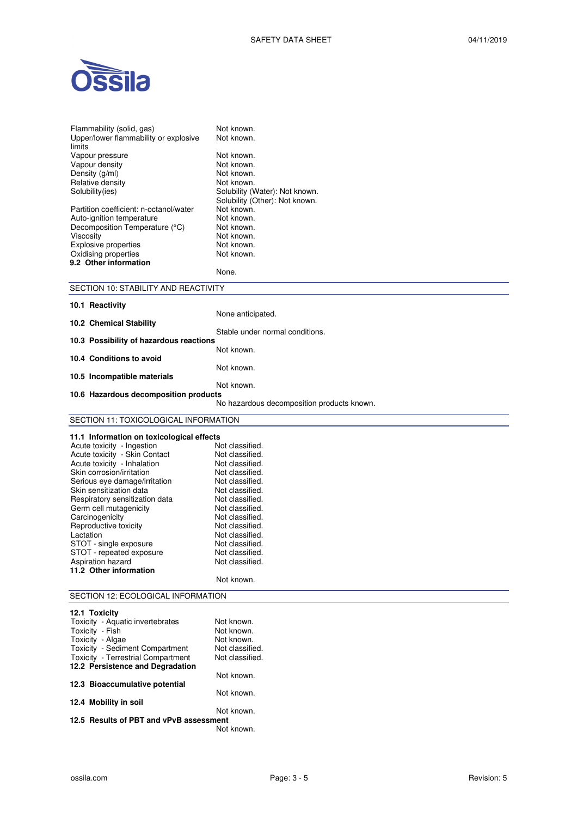

| Flammability (solid, gas)<br>Upper/lower flammability or explosive | Not known.<br>Not known.                   |  |
|--------------------------------------------------------------------|--------------------------------------------|--|
| limits                                                             |                                            |  |
| Vapour pressure                                                    | Not known.                                 |  |
| Vapour density                                                     | Not known.                                 |  |
| Density (g/ml)<br>Relative density                                 | Not known.<br>Not known.                   |  |
| Solubility(ies)                                                    | Solubility (Water): Not known.             |  |
|                                                                    | Solubility (Other): Not known.             |  |
| Partition coefficient: n-octanol/water                             | Not known.                                 |  |
| Auto-ignition temperature                                          | Not known.                                 |  |
| Decomposition Temperature (°C)                                     | Not known.                                 |  |
| Viscosity<br><b>Explosive properties</b>                           | Not known.<br>Not known.                   |  |
| Oxidising properties                                               | Not known.                                 |  |
| 9.2 Other information                                              |                                            |  |
|                                                                    | None.                                      |  |
| SECTION 10: STABILITY AND REACTIVITY                               |                                            |  |
| 10.1 Reactivity                                                    |                                            |  |
|                                                                    | None anticipated.                          |  |
| 10.2 Chemical Stability                                            |                                            |  |
|                                                                    | Stable under normal conditions.            |  |
| 10.3 Possibility of hazardous reactions                            | Not known.                                 |  |
| 10.4 Conditions to avoid                                           |                                            |  |
|                                                                    | Not known.                                 |  |
| 10.5 Incompatible materials                                        | Not known.                                 |  |
| 10.6 Hazardous decomposition products                              |                                            |  |
|                                                                    | No hazardous decomposition products known. |  |
| SECTION 11: TOXICOLOGICAL INFORMATION                              |                                            |  |
|                                                                    |                                            |  |
|                                                                    |                                            |  |
| 11.1 Information on toxicological effects                          |                                            |  |
| Acute toxicity - Ingestion                                         | Not classified.                            |  |
| Acute toxicity - Skin Contact<br>Acute toxicity - Inhalation       | Not classified.<br>Not classified.         |  |
| Skin corrosion/irritation                                          | Not classified.                            |  |
| Serious eye damage/irritation                                      | Not classified.                            |  |
| Skin sensitization data                                            | Not classified.                            |  |
| Respiratory sensitization data                                     | Not classified.                            |  |
| Germ cell mutagenicity                                             | Not classified.<br>Not classified.         |  |
| Carcinogenicity<br>Reproductive toxicity                           | Not classified.                            |  |
| Lactation                                                          | Not classified.                            |  |
| STOT - single exposure                                             | Not classified.                            |  |
| STOT - repeated exposure                                           | Not classified.                            |  |
| Aspiration hazard<br>11.2 Other information                        | Not classified.                            |  |
|                                                                    | Not known.                                 |  |
| SECTION 12: ECOLOGICAL INFORMATION                                 |                                            |  |
|                                                                    |                                            |  |
| 12.1 Toxicity                                                      |                                            |  |
| Toxicity - Aquatic invertebrates                                   | Not known.<br>Not known.                   |  |
| Toxicity - Fish<br>Toxicity - Algae                                | Not known.                                 |  |
| Toxicity - Sediment Compartment                                    | Not classified.                            |  |
| Toxicity - Terrestrial Compartment                                 | Not classified.                            |  |
| 12.2 Persistence and Degradation                                   |                                            |  |
| 12.3 Bioaccumulative potential                                     | Not known.                                 |  |
|                                                                    | Not known.                                 |  |
| 12.4 Mobility in soil                                              | Not known.                                 |  |

**12.5 Results of PBT and vPvB assessment**  Not known.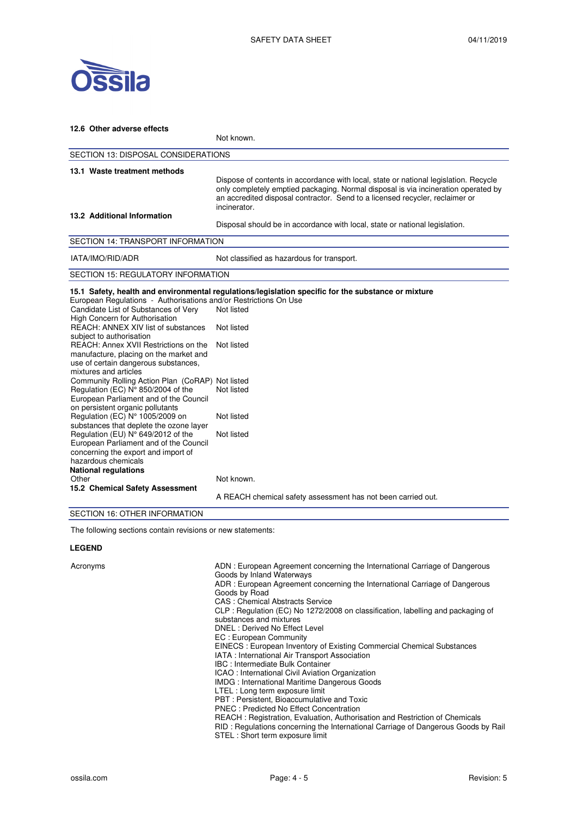

| 12.6 Other adverse effects                                                                                                                                                                                                                                                                                                                                        |                                                                                                                                                                                                                                                                            |  |
|-------------------------------------------------------------------------------------------------------------------------------------------------------------------------------------------------------------------------------------------------------------------------------------------------------------------------------------------------------------------|----------------------------------------------------------------------------------------------------------------------------------------------------------------------------------------------------------------------------------------------------------------------------|--|
|                                                                                                                                                                                                                                                                                                                                                                   | Not known.                                                                                                                                                                                                                                                                 |  |
| <b>SECTION 13: DISPOSAL CONSIDERATIONS</b>                                                                                                                                                                                                                                                                                                                        |                                                                                                                                                                                                                                                                            |  |
| 13.1 Waste treatment methods                                                                                                                                                                                                                                                                                                                                      | Dispose of contents in accordance with local, state or national legislation. Recycle<br>only completely emptied packaging. Normal disposal is via incineration operated by<br>an accredited disposal contractor. Send to a licensed recycler, reclaimer or<br>incinerator. |  |
| 13.2 Additional Information                                                                                                                                                                                                                                                                                                                                       | Disposal should be in accordance with local, state or national legislation.                                                                                                                                                                                                |  |
| <b>SECTION 14: TRANSPORT INFORMATION</b>                                                                                                                                                                                                                                                                                                                          |                                                                                                                                                                                                                                                                            |  |
| IATA/IMO/RID/ADR                                                                                                                                                                                                                                                                                                                                                  | Not classified as hazardous for transport.                                                                                                                                                                                                                                 |  |
| <b>SECTION 15: REGULATORY INFORMATION</b>                                                                                                                                                                                                                                                                                                                         |                                                                                                                                                                                                                                                                            |  |
| European Regulations - Authorisations and/or Restrictions On Use<br>Candidate List of Substances of Very<br>High Concern for Authorisation<br>REACH: ANNEX XIV list of substances<br>subject to authorisation<br>REACH: Annex XVII Restrictions on the<br>manufacture, placing on the market and<br>use of certain dangerous substances,<br>mixtures and articles | 15.1 Safety, health and environmental regulations/legislation specific for the substance or mixture<br>Not listed<br>Not listed<br>Not listed                                                                                                                              |  |
| Community Rolling Action Plan (CoRAP) Not listed<br>Regulation (EC) N° 850/2004 of the<br>European Parliament and of the Council<br>on persistent organic pollutants<br>Regulation (EC) N° 1005/2009 on                                                                                                                                                           | Not listed<br>Not listed                                                                                                                                                                                                                                                   |  |
| substances that deplete the ozone layer<br>Regulation (EU) N° 649/2012 of the<br>European Parliament and of the Council<br>concerning the export and import of<br>hazardous chemicals<br><b>National regulations</b>                                                                                                                                              | Not listed                                                                                                                                                                                                                                                                 |  |
| Other<br>15.2 Chemical Safety Assessment<br>$\overline{z}$                                                                                                                                                                                                                                                                                                        | Not known.<br>A REACH chemical safety assessment has not been carried out.                                                                                                                                                                                                 |  |

### SECTION 16: OTHER INFORMATION

The following sections contain revisions or new statements:

### **LEGEND**